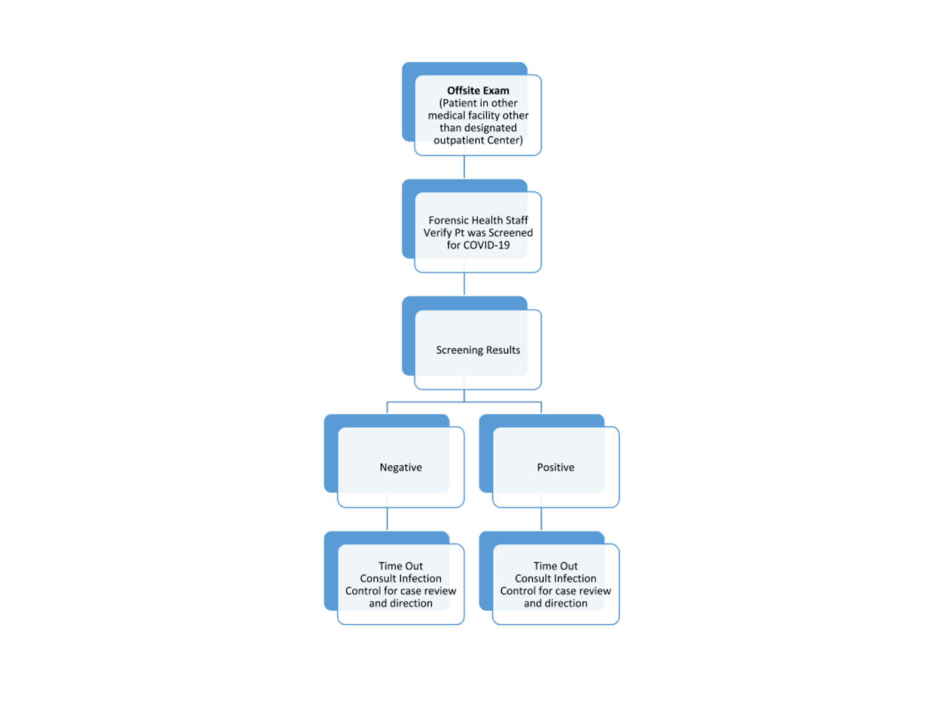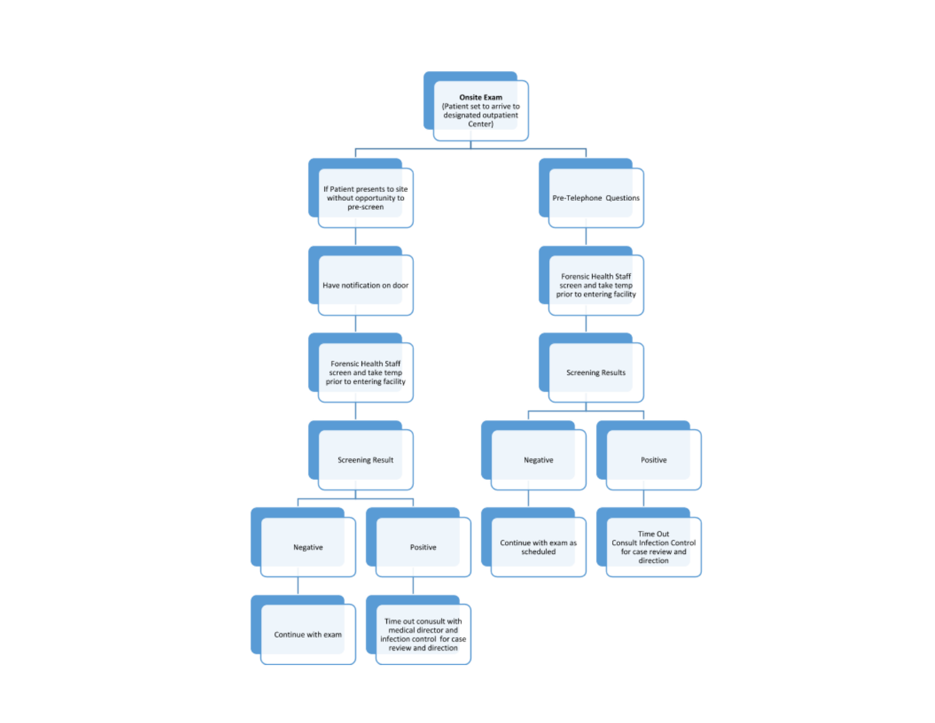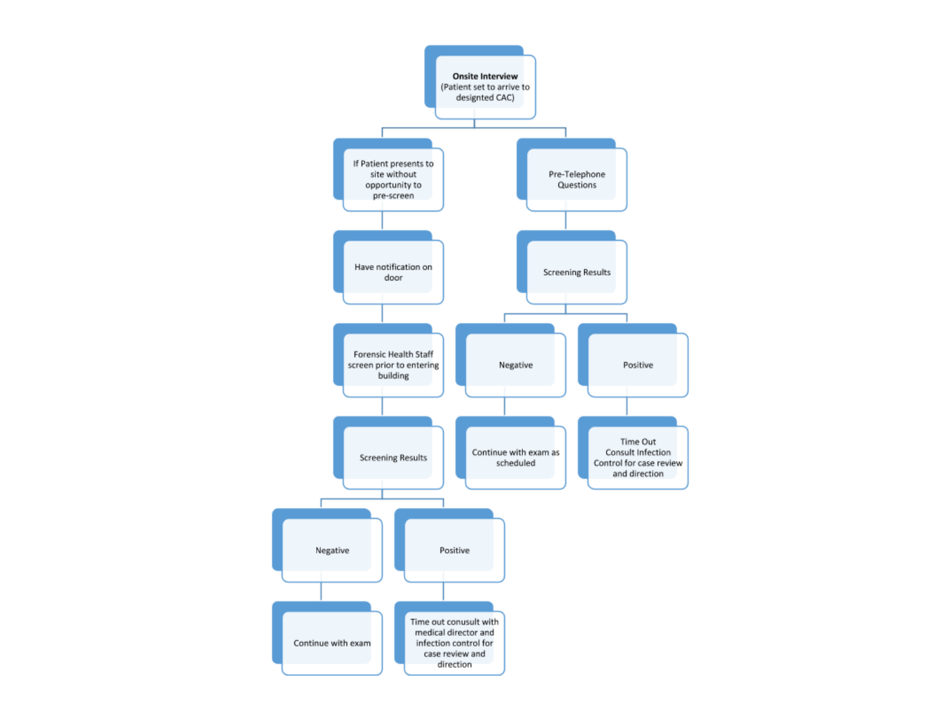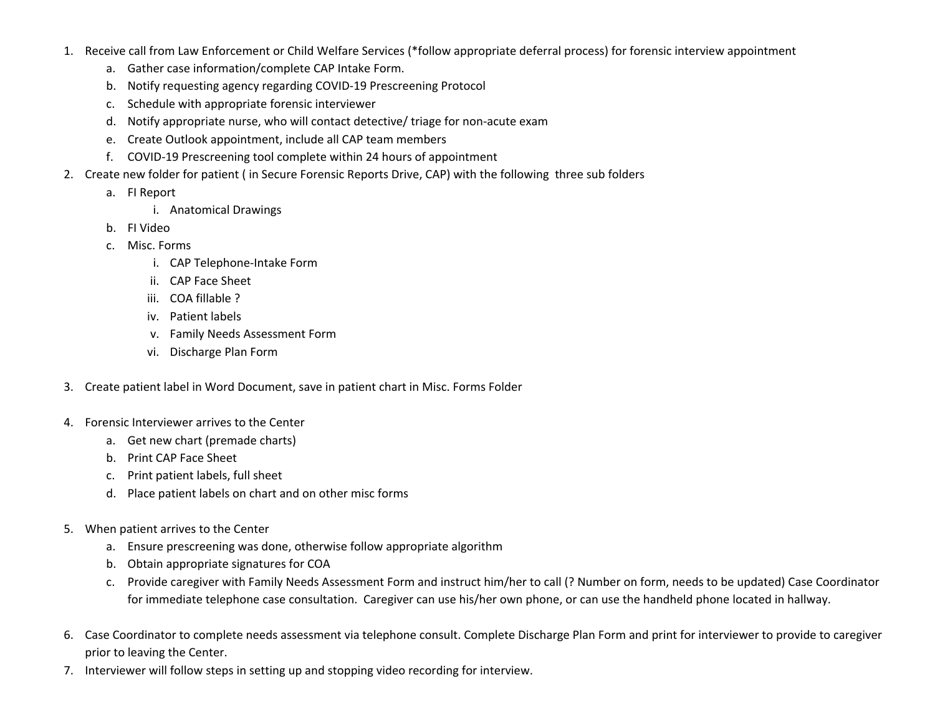- 1. Receive call from Law Enforcement or Child Welfare Services (\*follow appropriate deferral process) for forensic interview appointment
	- a. Gather case information/complete CAP Intake Form.
	- b. Notify requesting agency regarding COVID-19 Prescreening Protocol
	- c. Schedule with appropriate forensic interviewer
	- d. Notify appropriate nurse, who will contact detective/ triage for non-acute exam
	- e. Create Outlook appointment, include all CAP team members
	- f. COVID-19 Prescreening tool complete within 24 hours of appointment
- 2. Create new folder for patient ( in Secure Forensic Reports Drive, CAP) with the following three sub folders
	- a. FI Report
		- i. Anatomical Drawings
	- b. FI Video
	- c. Misc. Forms
		- i. CAP Telephone-Intake Form
		- ii. CAP Face Sheet
		- iii. COA fillable ?
		- iv. Patient labels
		- v. Family Needs Assessment Form
		- vi. Discharge Plan Form
- 3. Create patient label in Word Document, save in patient chart in Misc. Forms Folder
- 4. Forensic Interviewer arrives to the Center
	- a. Get new chart (premade charts)
	- b. Print CAP Face Sheet
	- c. Print patient labels, full sheet
	- d. Place patient labels on chart and on other misc forms
- 5. When patient arrives to the Center
	- a. Ensure prescreening was done, otherwise follow appropriate algorithm
	- b. Obtain appropriate signatures for COA
	- c. Provide caregiver with Family Needs Assessment Form and instruct him/her to call (? Number on form, needs to be updated) Case Coordinator for immediate telephone case consultation. Caregiver can use his/her own phone, or can use the handheld phone located in hallway.
- 6. Case Coordinator to complete needs assessment via telephone consult. Complete Discharge Plan Form and print for interviewer to provide to caregiver prior to leaving the Center.
- 7. Interviewer will follow steps in setting up and stopping video recording for interview.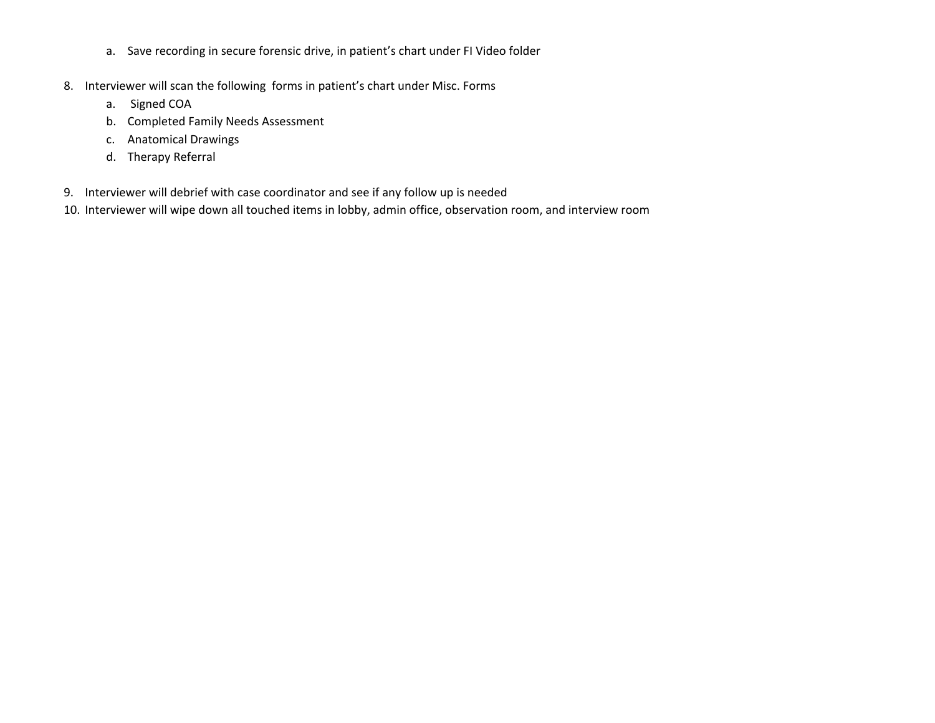- a. Save recording in secure forensic drive, in patient's chart under FI Video folder
- 8. Interviewer will scan the following forms in patient's chart under Misc. Forms
	- a. Signed COA
	- b. Completed Family Needs Assessment
	- c. Anatomical Drawings
	- d. Therapy Referral
- 9. Interviewer will debrief with case coordinator and see if any follow up is needed
- 10. Interviewer will wipe down all touched items in lobby, admin office, observation room, and interview room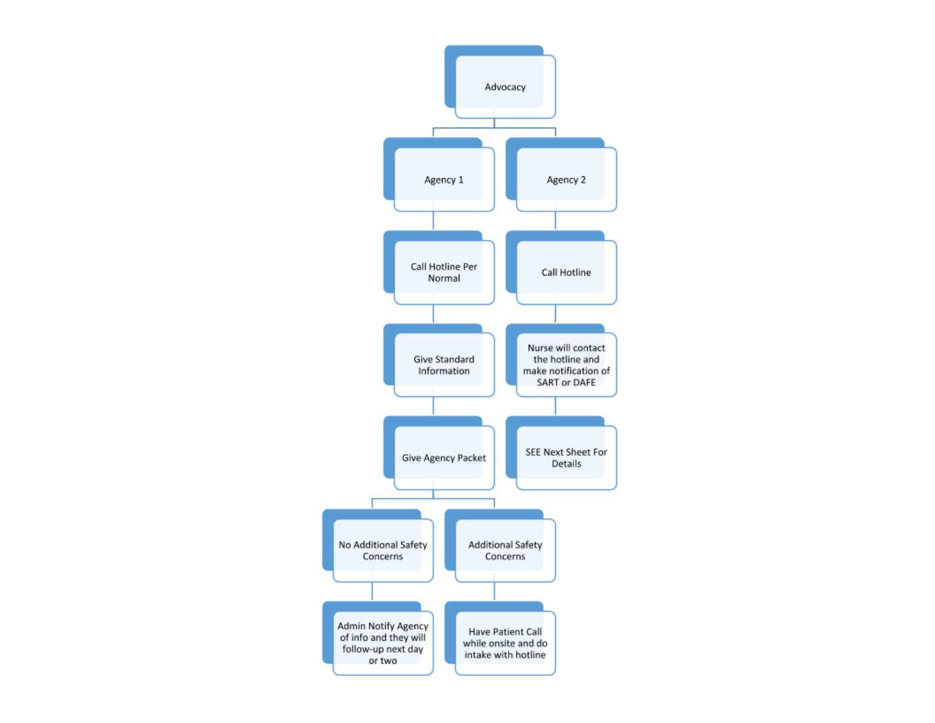